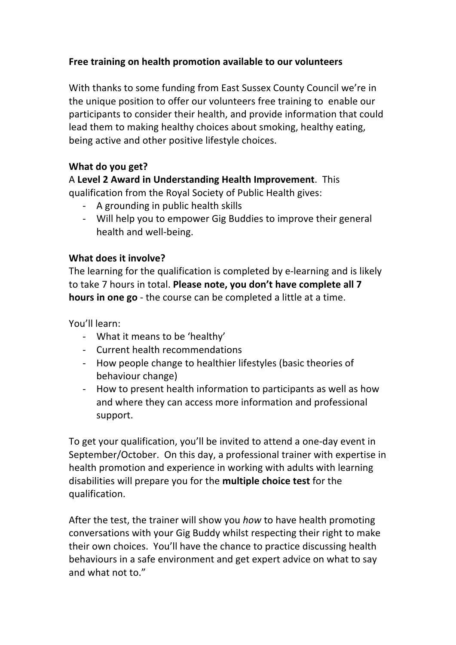# **Free training on health promotion available to our volunteers**

With thanks to some funding from East Sussex County Council we're in the unique position to offer our volunteers free training to enable our participants to consider their health, and provide information that could lead them to making healthy choices about smoking, healthy eating, being active and other positive lifestyle choices.

## **What do you get?**

### A **Level 2 Award in Understanding Health Improvement**. This qualification from the Royal Society of Public Health gives:

- A grounding in public health skills
- Will help you to empower Gig Buddies to improve their general health and well-being.

## **What does it involve?**

The learning for the qualification is completed by e-learning and is likely to take 7 hours in total. Please note, you don't have complete all 7 **hours in one go** - the course can be completed a little at a time.

You'll learn:

- What it means to be 'healthy'
- Current health recommendations
- How people change to healthier lifestyles (basic theories of behaviour change)
- How to present health information to participants as well as how and where they can access more information and professional support.

To get your qualification, you'll be invited to attend a one-day event in September/October. On this day, a professional trainer with expertise in health promotion and experience in working with adults with learning disabilities will prepare you for the **multiple choice test** for the qualification.

After the test, the trainer will show you *how* to have health promoting conversations with your Gig Buddy whilst respecting their right to make their own choices. You'll have the chance to practice discussing health behaviours in a safe environment and get expert advice on what to say and what not to."